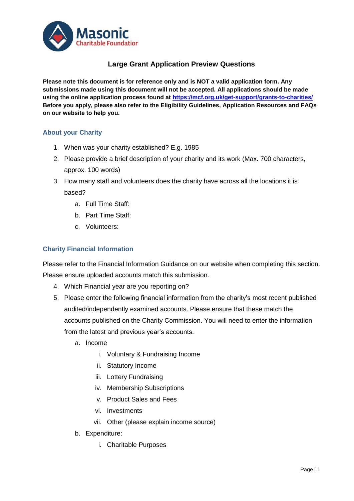

# **Large Grant Application Preview Questions**

**Please note this document is for reference only and is NOT a valid application form. Any submissions made using this document will not be accepted. All applications should be made using the online application process found at<https://mcf.org.uk/get-support/grants-to-charities/> Before you apply, please also refer to the Eligibility Guidelines, Application Resources and FAQs on our website to help you.**

## **About your Charity**

- 1. When was your charity established? E.g. 1985
- 2. Please provide a brief description of your charity and its work (Max. 700 characters, approx. 100 words)
- 3. How many staff and volunteers does the charity have across all the locations it is based?
	- a. Full Time Staff:
	- b. Part Time Staff:
	- c. Volunteers:

## **Charity Financial Information**

Please refer to the Financial Information Guidance on our website when completing this section. Please ensure uploaded accounts match this submission.

- 4. Which Financial year are you reporting on?
- 5. Please enter the following financial information from the charity's most recent published audited/independently examined accounts. Please ensure that these match the accounts published on the Charity Commission. You will need to enter the information from the latest and previous year's accounts.
	- a. Income
		- i. Voluntary & Fundraising Income
		- ii. Statutory Income
		- iii. Lottery Fundraising
		- iv. Membership Subscriptions
		- v. Product Sales and Fees
		- vi. Investments
		- vii. Other (please explain income source)
	- b. Expenditure:
		- i. Charitable Purposes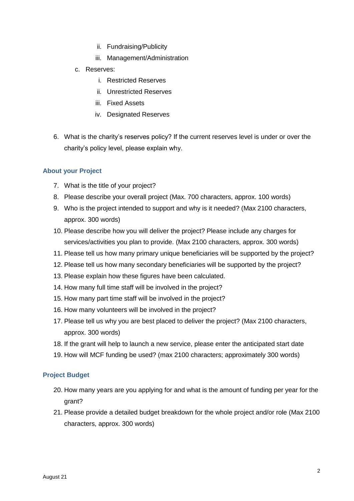- ii. Fundraising/Publicity
- iii. Management/Administration
- c. Reserves:
	- i. Restricted Reserves
	- ii. Unrestricted Reserves
	- iii. Fixed Assets
	- iv. Designated Reserves
- 6. What is the charity's reserves policy? If the current reserves level is under or over the charity's policy level, please explain why.

## **About your Project**

- 7. What is the title of your project?
- 8. Please describe your overall project (Max. 700 characters, approx. 100 words)
- 9. Who is the project intended to support and why is it needed? (Max 2100 characters, approx. 300 words)
- 10. Please describe how you will deliver the project? Please include any charges for services/activities you plan to provide. (Max 2100 characters, approx. 300 words)
- 11. Please tell us how many primary unique beneficiaries will be supported by the project?
- 12. Please tell us how many secondary beneficiaries will be supported by the project?
- 13. Please explain how these figures have been calculated.
- 14. How many full time staff will be involved in the project?
- 15. How many part time staff will be involved in the project?
- 16. How many volunteers will be involved in the project?
- 17. Please tell us why you are best placed to deliver the project? (Max 2100 characters, approx. 300 words)
- 18. If the grant will help to launch a new service, please enter the anticipated start date
- 19. How will MCF funding be used? (max 2100 characters; approximately 300 words)

### **Project Budget**

- 20. How many years are you applying for and what is the amount of funding per year for the grant?
- 21. Please provide a detailed budget breakdown for the whole project and/or role (Max 2100 characters, approx. 300 words)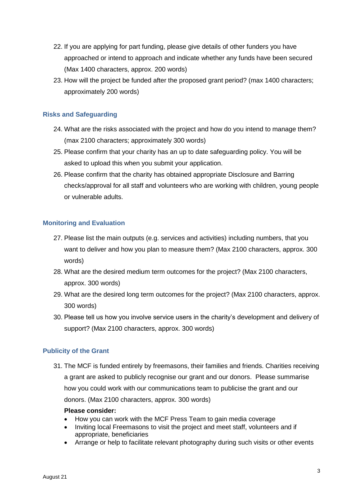- 22. If you are applying for part funding, please give details of other funders you have approached or intend to approach and indicate whether any funds have been secured (Max 1400 characters, approx. 200 words)
- 23. How will the project be funded after the proposed grant period? (max 1400 characters; approximately 200 words)

# **Risks and Safeguarding**

- 24. What are the risks associated with the project and how do you intend to manage them? (max 2100 characters; approximately 300 words)
- 25. Please confirm that your charity has an up to date safeguarding policy. You will be asked to upload this when you submit your application.
- 26. Please confirm that the charity has obtained appropriate Disclosure and Barring checks/approval for all staff and volunteers who are working with children, young people or vulnerable adults.

## **Monitoring and Evaluation**

- 27. Please list the main outputs (e.g. services and activities) including numbers, that you want to deliver and how you plan to measure them? (Max 2100 characters, approx. 300 words)
- 28. What are the desired medium term outcomes for the project? (Max 2100 characters, approx. 300 words)
- 29. What are the desired long term outcomes for the project? (Max 2100 characters, approx. 300 words)
- 30. Please tell us how you involve service users in the charity's development and delivery of support? (Max 2100 characters, approx. 300 words)

# **Publicity of the Grant**

31. The MCF is funded entirely by freemasons, their families and friends. Charities receiving a grant are asked to publicly recognise our grant and our donors. Please summarise how you could work with our communications team to publicise the grant and our donors. (Max 2100 characters, approx. 300 words)

### **Please consider:**

- How you can work with the MCF Press Team to gain media coverage
- Inviting local Freemasons to visit the project and meet staff, volunteers and if appropriate, beneficiaries
- Arrange or help to facilitate relevant photography during such visits or other events